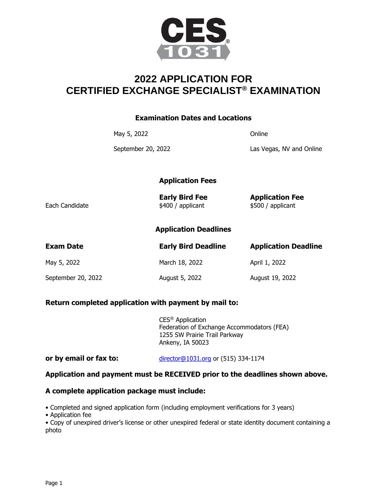

# **2022 APPLICATION FOR CERTIFIED EXCHANGE SPECIALIST® EXAMINATION**

### **Examination Dates and Locations**

May 5, 2022 Continue

September 20, 2022 **Las Vegas, NV and Online** 

**Application Fees**

|  | Each Candidate |
|--|----------------|
|--|----------------|

**Early Bird Fee Application Fee** \$400 / applicant \$500 / applicant

## **Application Deadlines**

| <b>Exam Date</b>   | <b>Early Bird Deadline</b> | <b>Application Deadline</b> |
|--------------------|----------------------------|-----------------------------|
| May 5, 2022        | March 18, 2022             | April 1, 2022               |
| September 20, 2022 | August 5, 2022             | August 19, 2022             |

## **Return completed application with payment by mail to:**

CES® Application Federation of Exchange Accommodators (FEA) 1255 SW Prairie Trail Parkway Ankeny, IA 50023

**or by email or fax to:** [director@1031.org](mailto:director@1031.org) or (515) 334-1174

## **Application and payment must be RECEIVED prior to the deadlines shown above.**

## **A complete application package must include:**

• Completed and signed application form (including employment verifications for 3 years)

• Application fee

• Copy of unexpired driver's license or other unexpired federal or state identity document containing a photo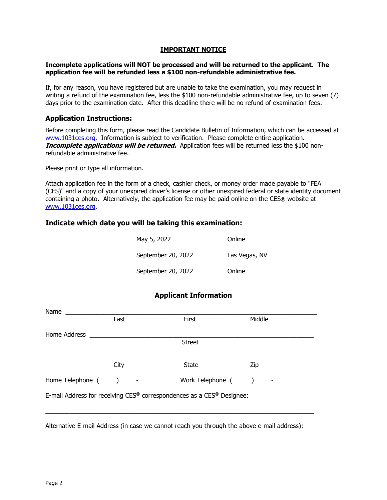#### **IMPORTANT NOTICE**

#### **Incomplete applications will NOT be processed and will be returned to the applicant. The application fee will be refunded less a \$100 non-refundable administrative fee.**

If, for any reason, you have registered but are unable to take the examination, you may request in writing a refund of the examination fee, less the \$100 non-refundable administrative fee, up to seven (7) days prior to the examination date. After this deadline there will be no refund of examination fees.

### **Application Instructions:**

Before completing this form, please read the Candidate Bulletin of Information, which can be accessed at [www.1031ces.org.](http://www.1031ces.org/) Information is subject to verification. Please complete entire application. **Incomplete applications will be returned.** Application fees will be returned less the \$100 nonrefundable administrative fee.

Please print or type all information.

Attach application fee in the form of a check, cashier check, or money order made payable to "FEA (CES)" and a copy of your unexpired driver's license or other unexpired federal or state identity document containing a photo. Alternatively, the application fee may be paid online on the CES® website at [www.1031ces.org.](http://www.1031ces.org/)

### **Indicate which date you will be taking this examination:**

| May 5, 2022        | Online        |
|--------------------|---------------|
| September 20, 2022 | Las Vegas, NV |
| September 20, 2022 | Online        |

### **Applicant Information**

| Name         |      |                                                                                                      |        |
|--------------|------|------------------------------------------------------------------------------------------------------|--------|
|              | Last | <b>First</b>                                                                                         | Middle |
| Home Address |      |                                                                                                      |        |
|              |      | <b>Street</b>                                                                                        |        |
|              | City | <b>State</b>                                                                                         | Zip    |
|              |      |                                                                                                      |        |
|              |      | Work Telephone $(\_\_ \_ )\_ \_ \_ \_$                                                               |        |
|              |      | E-mail Address for receiving $CES^{\circledast}$ correspondences as a CES $^{\circledast}$ Designee: |        |
|              |      |                                                                                                      |        |
|              |      |                                                                                                      |        |
|              |      | Alternative E-mail Address (in case we cannot reach you through the above e-mail address):           |        |

 $\_$  , and the set of the set of the set of the set of the set of the set of the set of the set of the set of the set of the set of the set of the set of the set of the set of the set of the set of the set of the set of th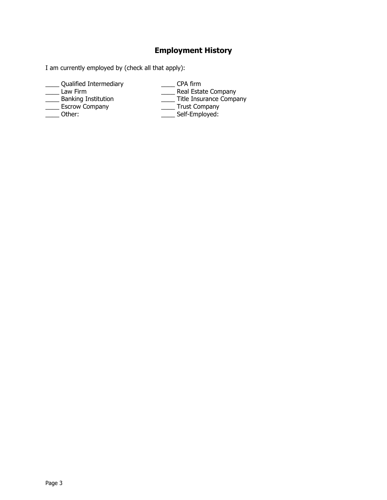## **Employment History**

I am currently employed by (check all that apply):

\_\_\_\_\_\_ Qualified Intermediary \_\_\_\_\_\_\_\_ CPA firm \_\_\_\_\_\_ Law Firm

Law Firm External Company<br>
Banking Institution<br>
Company<br>
Title Insurance Company \_\_\_\_ Banking Institution \_\_\_\_ Title Insurance Company

**Escrow Company** 

\_\_\_\_ Other: \_\_\_\_ Self-Employed: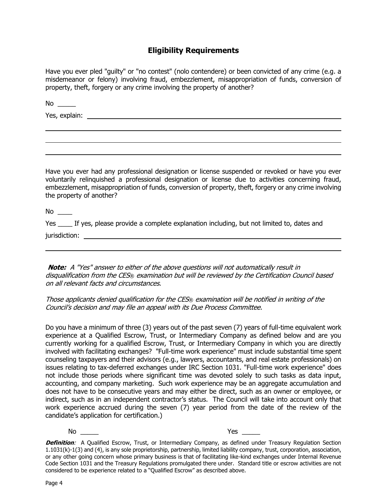## **Eligibility Requirements**

Have you ever pled "guilty" or "no contest" (nolo contendere) or been convicted of any crime (e.g. a misdemeanor or felony) involving fraud, embezzlement, misappropriation of funds, conversion of property, theft, forgery or any crime involving the property of another?

 $No \ \_$ 

Yes, explain:

Have you ever had any professional designation or license suspended or revoked or have you ever voluntarily relinquished a professional designation or license due to activities concerning fraud, embezzlement, misappropriation of funds, conversion of property, theft, forgery or any crime involving the property of another?

 $No$ 

Yes If yes, please provide a complete explanation including, but not limited to, dates and jurisdiction:

**Note:** A "Yes" answer to either of the above questions will not automatically result in disqualification from the CES® examination but will be reviewed by the Certification Council based on all relevant facts and circumstances.

Those applicants denied qualification for the CES® examination will be notified in writing of the Council's decision and may file an appeal with its Due Process Committee.

Do you have a minimum of three (3) years out of the past seven (7) years of full-time equivalent work experience at a Qualified Escrow, Trust, or Intermediary Company as defined below and are you currently working for a qualified Escrow, Trust, or Intermediary Company in which you are directly involved with facilitating exchanges? "Full-time work experience" must include substantial time spent counseling taxpayers and their advisors (e.g., lawyers, accountants, and real estate professionals) on issues relating to tax-deferred exchanges under IRC Section 1031. "Full-time work experience" does not include those periods where significant time was devoted solely to such tasks as data input, accounting, and company marketing. Such work experience may be an aggregate accumulation and does not have to be consecutive years and may either be direct, such as an owner or employee, or indirect, such as in an independent contractor's status. The Council will take into account only that work experience accrued during the seven (7) year period from the date of the review of the candidate's application for certification.)

No <u>equal</u>

**Definition**: A Qualified Escrow, Trust, or Intermediary Company, as defined under Treasury Regulation Section 1.1031(k)-1(3) and (4), is any sole proprietorship, partnership, limited liability company, trust, corporation, association, or any other going concern whose primary business is that of facilitating like-kind exchanges under Internal Revenue Code Section 1031 and the Treasury Regulations promulgated there under. Standard title or escrow activities are not considered to be experience related to a "Qualified Escrow" as described above.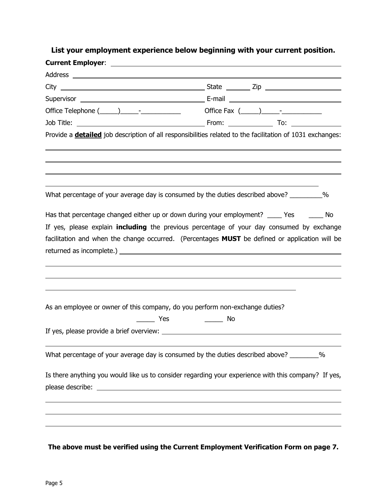## **List your employment experience below beginning with your current position.**

|                  | Provide a <b>detailed</b> job description of all responsibilities related to the facilitation of 1031 exchanges: |
|------------------|------------------------------------------------------------------------------------------------------------------|
|                  |                                                                                                                  |
|                  |                                                                                                                  |
|                  | What percentage of your average day is consumed by the duties described above? _________%                        |
|                  | Has that percentage changed either up or down during your employment? _____ Yes _______ No                       |
|                  | If yes, please explain <b>including</b> the previous percentage of your day consumed by exchange                 |
|                  | facilitation and when the change occurred. (Percentages MUST be defined or application will be                   |
|                  |                                                                                                                  |
|                  |                                                                                                                  |
|                  |                                                                                                                  |
|                  |                                                                                                                  |
|                  |                                                                                                                  |
|                  | As an employee or owner of this company, do you perform non-exchange duties?                                     |
| $\equiv$ Yes     | $\frac{1}{\sqrt{1-\frac{1}{2}}}\sqrt{1-\frac{1}{2}}$                                                             |
|                  |                                                                                                                  |
|                  | What percentage of your average day is consumed by the duties described above? ________%                         |
|                  | Is there anything you would like us to consider regarding your experience with this company? If yes,             |
| please describe: | <u> 1989 - Johann Stone, margin eta idazlear (h. 1989).</u>                                                      |
|                  |                                                                                                                  |
|                  |                                                                                                                  |
|                  |                                                                                                                  |
|                  |                                                                                                                  |
|                  |                                                                                                                  |

**The above must be verified using the Current Employment Verification Form on page 7.**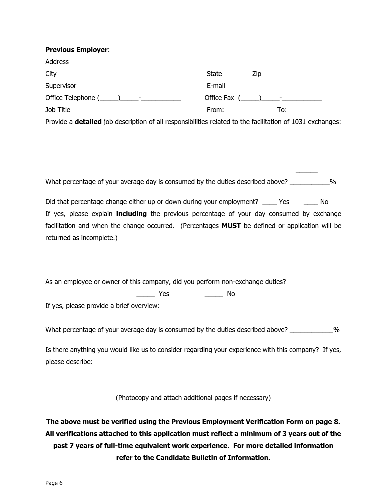|                   | Provide a <b>detailed</b> job description of all responsibilities related to the facilitation of 1031 exchanges:                                                                                                                                                                               |
|-------------------|------------------------------------------------------------------------------------------------------------------------------------------------------------------------------------------------------------------------------------------------------------------------------------------------|
|                   | What percentage of your average day is consumed by the duties described above? ___________%                                                                                                                                                                                                    |
|                   | Did that percentage change either up or down during your employment? _____ Yes ______ No<br>If yes, please explain <i>including</i> the previous percentage of your day consumed by exchange<br>facilitation and when the change occurred. (Percentages MUST be defined or application will be |
| <b>Example ST</b> | As an employee or owner of this company, did you perform non-exchange duties?<br>$\overline{\phantom{a}}$ No                                                                                                                                                                                   |
|                   | What percentage of your average day is consumed by the duties described above? ________<br>$\%$                                                                                                                                                                                                |
| please describe:  | Is there anything you would like us to consider regarding your experience with this company? If yes,<br><u> 1989 - Johann John Stein, marwolaethau (b. 1989)</u>                                                                                                                               |
|                   | (Photocopy and attach additional pages if necessary)                                                                                                                                                                                                                                           |

**The above must be verified using the Previous Employment Verification Form on page 8. All verifications attached to this application must reflect a minimum of 3 years out of the past 7 years of full-time equivalent work experience. For more detailed information refer to the Candidate Bulletin of Information.**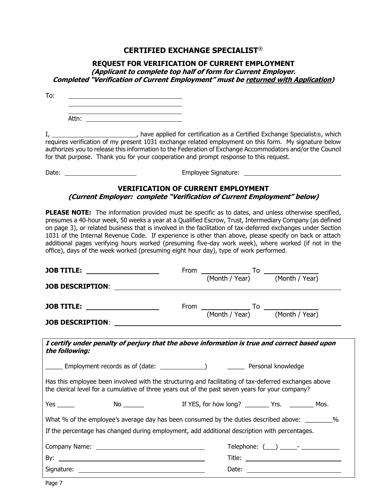### **CERTIFIED EXCHANGE SPECIALIST**®

### **REQUEST FOR VERIFICATION OF CURRENT EMPLOYMENT**

**(Applicant to complete top half of form for Current Employer. Completed "Verification of Current Employment" must be returned with Application)**

To: 

| . . |  |  |  |
|-----|--|--|--|

I, 1. All that the setting power applied for certification as a Certified Exchange Specialist®, which requires verification of my present 1031 exchange related employment on this form. My signature below authorizes you to release this information to the Federation of Exchange Accommodators and/or the Council for that purpose. Thank you for your cooperation and prompt response to this request.

Date: **Employee Signature:** 

## **VERIFICATION OF CURRENT EMPLOYMENT (Current Employer: complete "Verification of Current Employment" below)**

**PLEASE NOTE:** The information provided must be specific as to dates, and unless otherwise specified, presumes a 40-hour week, 50 weeks a year at a Qualified Escrow, Trust, Intermediary Company (as defined on page 3), or related business that is involved in the facilitation of tax-deferred exchanges under Section 1031 of the Internal Revenue Code. If experience is other than above, please specify on back or attach additional pages verifying hours worked (presuming five-day work week), where worked (if not in the office), days of the week worked (presuming eight hour day), type of work performed.

|                     | <b>JOB TITLE:</b> ___________________                                                                                                                                                                                          |  |                                 |
|---------------------|--------------------------------------------------------------------------------------------------------------------------------------------------------------------------------------------------------------------------------|--|---------------------------------|
|                     | JOB DESCRIPTION: University of the contract of the contract of the contract of the contract of the contract of the contract of the contract of the contract of the contract of the contract of the contract of the contract of |  |                                 |
|                     | <b>JOB TITLE:</b> ___________________                                                                                                                                                                                          |  |                                 |
|                     |                                                                                                                                                                                                                                |  |                                 |
| the following:      | I certify under penalty of perjury that the above information is true and correct based upon                                                                                                                                   |  |                                 |
|                     | Employment records as of (date: ______________) Personal knowledge                                                                                                                                                             |  |                                 |
|                     | Has this employee been involved with the structuring and facilitating of tax-deferred exchanges above<br>the clerical level for a cumulative of three years out of the past seven years for your company?                      |  |                                 |
| Yes $\_\_\_\_\_\_\$ |                                                                                                                                                                                                                                |  |                                 |
|                     | What % of the employee's average day has been consumed by the duties described above: ________%                                                                                                                                |  |                                 |
|                     | If the percentage has changed during employment, add additional description with percentages.                                                                                                                                  |  |                                 |
|                     |                                                                                                                                                                                                                                |  | Telephone: $(\_\_\_) \_\_\_\$ - |
|                     |                                                                                                                                                                                                                                |  |                                 |
|                     |                                                                                                                                                                                                                                |  |                                 |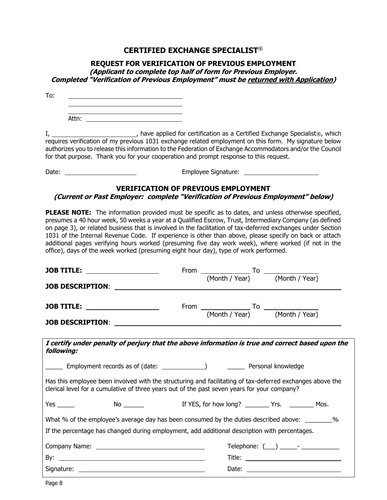### **CERTIFIED EXCHANGE SPECIALIST**®

### **REQUEST FOR VERIFICATION OF PREVIOUS EMPLOYMENT**

**(Applicant to complete top half of form for Previous Employer. Completed "Verification of Previous Employment" must be returned with Application)**

To: <u> 1990 - Johann Barbara, martin amerikan personal (</u>

| . . |  |  |  |
|-----|--|--|--|

I, \_\_\_\_\_\_\_\_\_\_\_\_\_\_\_\_\_\_\_\_\_\_\_\_\_\_\_\_\_\_\_, have applied for certification as a Certified Exchange Specialist®, which requires verification of my previous 1031 exchange related employment on this form. My signature below authorizes you to release this information to the Federation of Exchange Accommodators and/or the Council for that purpose. Thank you for your cooperation and prompt response to this request.

Date: Employee Signature:

## **VERIFICATION OF PREVIOUS EMPLOYMENT**

**(Current or Past Employer: complete "Verification of Previous Employment" below)**

**PLEASE NOTE:** The information provided must be specific as to dates, and unless otherwise specified, presumes a 40 hour week, 50 weeks a year at a Qualified Escrow, Trust, Intermediary Company (as defined on page 3), or related business that is involved in the facilitation of tax-deferred exchanges under Section 1031 of the Internal Revenue Code. If experience is other than above, please specify on back or attach additional pages verifying hours worked (presuming five day work week), where worked (if not in the office), days of the week worked (presuming eight hour day), type of work performed.

| JOB TITLE: __________________                                                                                                                                                                             |  |                                                |
|-----------------------------------------------------------------------------------------------------------------------------------------------------------------------------------------------------------|--|------------------------------------------------|
| <b>JOB DESCRIPTION:</b>                                                                                                                                                                                   |  |                                                |
| <b>JOB TITLE:</b> ___________________                                                                                                                                                                     |  |                                                |
| I certify under penalty of perjury that the above information is true and correct based upon the<br>following:                                                                                            |  |                                                |
| <b>EXECUTE:</b> Employment records as of (date: _______________) Tersonal knowledge                                                                                                                       |  |                                                |
| Has this employee been involved with the structuring and facilitating of tax-deferred exchanges above the<br>clerical level for a cumulative of three years out of the past seven years for your company? |  |                                                |
| Yes $\_\_\_\_\_\_\_\$                                                                                                                                                                                     |  |                                                |
| What % of the employee's average day has been consumed by the duties described above: ________%<br>If the percentage has changed during employment, add additional description with percentages.          |  |                                                |
|                                                                                                                                                                                                           |  | Telephone: $(\_\_\_) \_\_\_\$ -                |
|                                                                                                                                                                                                           |  | $\begin{tabular}{c} \bf{Title:} \end{tabular}$ |
|                                                                                                                                                                                                           |  |                                                |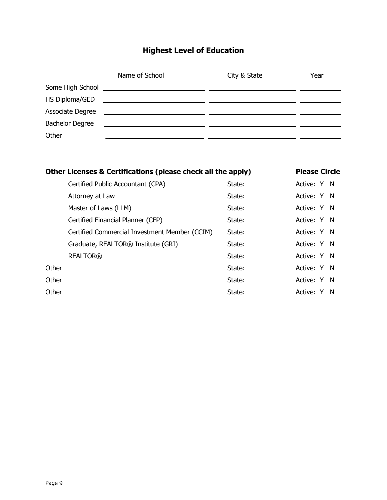# **Highest Level of Education**

|                        | Name of School                                | City & State | Year |
|------------------------|-----------------------------------------------|--------------|------|
|                        |                                               |              |      |
| HS Diploma/GED         | <u> 1980 - Andrea Andrew Maria (h. 1980).</u> |              |      |
| Associate Degree       |                                               |              |      |
| <b>Bachelor Degree</b> |                                               |              |      |
| Other                  |                                               |              |      |
|                        |                                               |              |      |

|       | Other Licenses & Certifications (please check all the apply)     |        | <b>Please Circle</b> |  |
|-------|------------------------------------------------------------------|--------|----------------------|--|
|       | Certified Public Accountant (CPA)                                | State: | Active: Y N          |  |
|       | Attorney at Law                                                  | State: | Active: Y N          |  |
|       | Master of Laws (LLM)                                             | State: | Active: Y N          |  |
|       | Certified Financial Planner (CFP)                                | State: | Active: Y N          |  |
|       | Certified Commercial Investment Member (CCIM)                    | State: | Active: Y N          |  |
|       | Graduate, REALTOR® Institute (GRI)                               | State: | Active: Y N          |  |
|       | <b>REALTOR®</b>                                                  | State: | Active: Y N          |  |
| Other | <u> 1980 - Jan James James Barnett, fransk politik (d. 1980)</u> | State: | Active: Y N          |  |
| Other |                                                                  | State: | Active: Y N          |  |
| Other |                                                                  | State: | Active: Y N          |  |
|       |                                                                  |        |                      |  |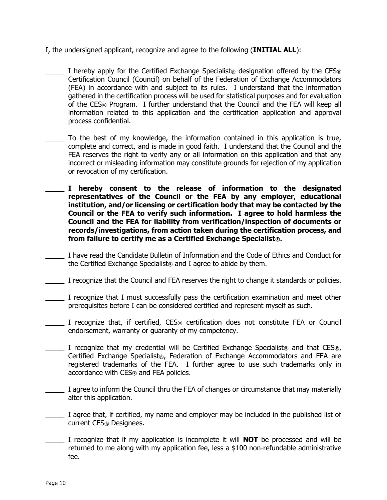- I, the undersigned applicant, recognize and agree to the following (**INITIAL ALL**):
- I hereby apply for the Certified Exchange Specialist<sup>®</sup> designation offered by the CES<sup>®</sup> Certification Council (Council) on behalf of the Federation of Exchange Accommodators (FEA) in accordance with and subject to its rules. I understand that the information gathered in the certification process will be used for statistical purposes and for evaluation of the CES® Program. I further understand that the Council and the FEA will keep all information related to this application and the certification application and approval process confidential.
- To the best of my knowledge, the information contained in this application is true, complete and correct, and is made in good faith. I understand that the Council and the FEA reserves the right to verify any or all information on this application and that any incorrect or misleading information may constitute grounds for rejection of my application or revocation of my certification.
- \_\_\_\_\_ **I hereby consent to the release of information to the designated representatives of the Council or the FEA by any employer, educational institution, and/or licensing or certification body that may be contacted by the Council or the FEA to verify such information. I agree to hold harmless the Council and the FEA for liability from verification/inspection of documents or records/investigations, from action taken during the certification process, and from failure to certify me as a Certified Exchange Specialist®.**
- \_\_\_\_\_ I have read the Candidate Bulletin of Information and the Code of Ethics and Conduct for the Certified Exchange Specialist<sup>®</sup> and I agree to abide by them.
- \_\_\_\_\_ I recognize that the Council and FEA reserves the right to change it standards or policies.
- \_\_\_\_\_ I recognize that I must successfully pass the certification examination and meet other prerequisites before I can be considered certified and represent myself as such.
- \_\_\_\_\_ I recognize that, if certified, CES® certification does not constitute FEA or Council endorsement, warranty or guaranty of my competency.
- I recognize that my credential will be Certified Exchange Specialist<sup>®</sup> and that CES<sup>®</sup>, Certified Exchange Specialist®, Federation of Exchange Accommodators and FEA are registered trademarks of the FEA. I further agree to use such trademarks only in accordance with CES® and FEA policies.
- I agree to inform the Council thru the FEA of changes or circumstance that may materially alter this application.
- I agree that, if certified, my name and employer may be included in the published list of current CES® Designees.
- I recognize that if my application is incomplete it will **NOT** be processed and will be returned to me along with my application fee, less a \$100 non-refundable administrative fee.